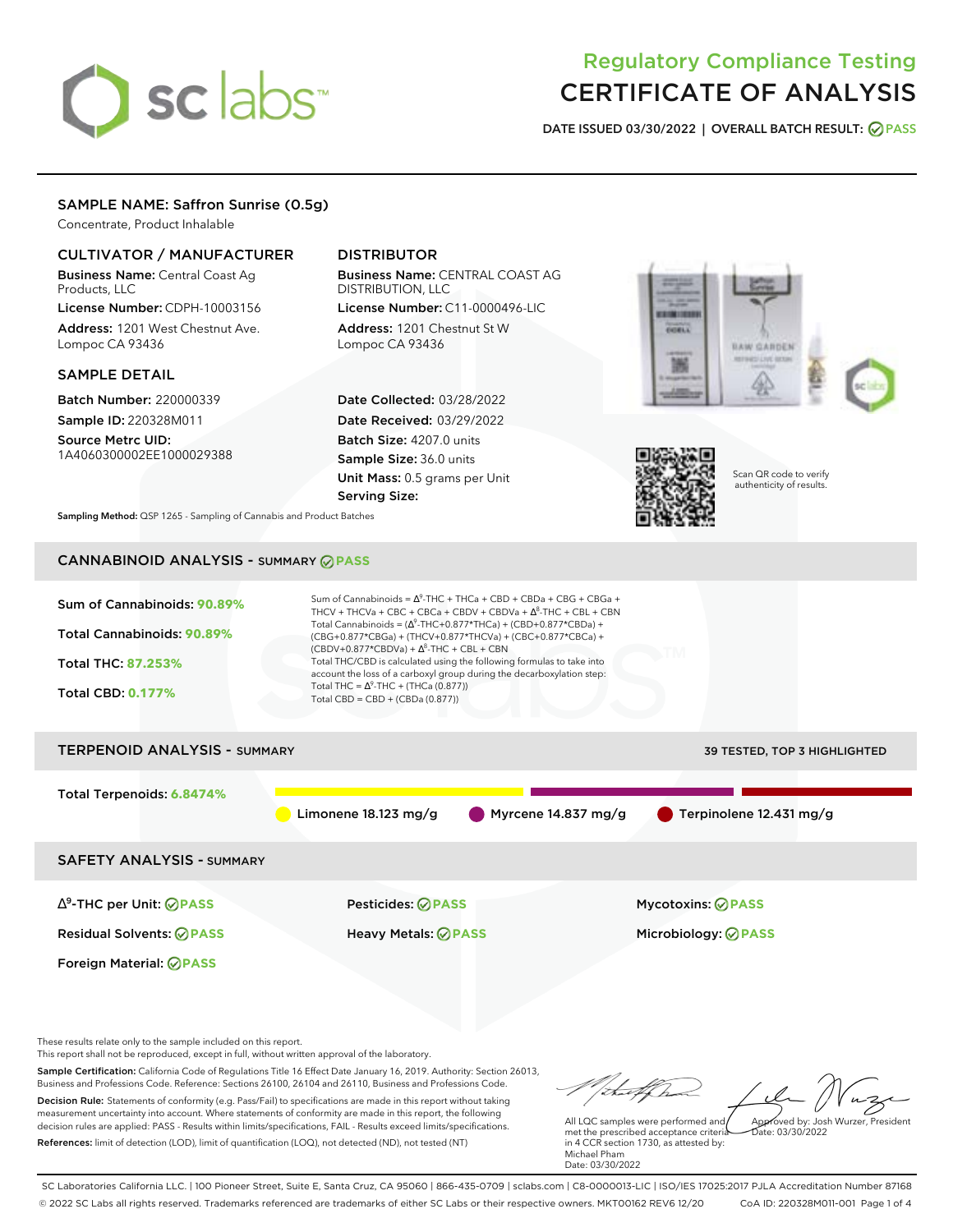# sclabs<sup>\*</sup>

# Regulatory Compliance Testing CERTIFICATE OF ANALYSIS

**DATE ISSUED 03/30/2022 | OVERALL BATCH RESULT: PASS**

# SAMPLE NAME: Saffron Sunrise (0.5g)

Concentrate, Product Inhalable

# CULTIVATOR / MANUFACTURER

Business Name: Central Coast Ag Products, LLC

License Number: CDPH-10003156 Address: 1201 West Chestnut Ave. Lompoc CA 93436

# SAMPLE DETAIL

Batch Number: 220000339 Sample ID: 220328M011

Source Metrc UID: 1A4060300002EE1000029388

# DISTRIBUTOR

Business Name: CENTRAL COAST AG DISTRIBUTION, LLC License Number: C11-0000496-LIC

Address: 1201 Chestnut St W Lompoc CA 93436

Date Collected: 03/28/2022 Date Received: 03/29/2022 Batch Size: 4207.0 units Sample Size: 36.0 units Unit Mass: 0.5 grams per Unit Serving Size:





Scan QR code to verify authenticity of results.

**Sampling Method:** QSP 1265 - Sampling of Cannabis and Product Batches

# CANNABINOID ANALYSIS - SUMMARY **PASS**



These results relate only to the sample included on this report.

This report shall not be reproduced, except in full, without written approval of the laboratory.

Sample Certification: California Code of Regulations Title 16 Effect Date January 16, 2019. Authority: Section 26013, Business and Professions Code. Reference: Sections 26100, 26104 and 26110, Business and Professions Code. Decision Rule: Statements of conformity (e.g. Pass/Fail) to specifications are made in this report without taking measurement uncertainty into account. Where statements of conformity are made in this report, the following decision rules are applied: PASS - Results within limits/specifications, FAIL - Results exceed limits/specifications.

References: limit of detection (LOD), limit of quantification (LOQ), not detected (ND), not tested (NT)

Approved by: Josh Wurzer, President

 $\frac{1}{2}$ ate: 03/30/2022

All LQC samples were performed and met the prescribed acceptance criteria in 4 CCR section 1730, as attested by: Michael Pham Date: 03/30/2022

SC Laboratories California LLC. | 100 Pioneer Street, Suite E, Santa Cruz, CA 95060 | 866-435-0709 | sclabs.com | C8-0000013-LIC | ISO/IES 17025:2017 PJLA Accreditation Number 87168 © 2022 SC Labs all rights reserved. Trademarks referenced are trademarks of either SC Labs or their respective owners. MKT00162 REV6 12/20 CoA ID: 220328M011-001 Page 1 of 4